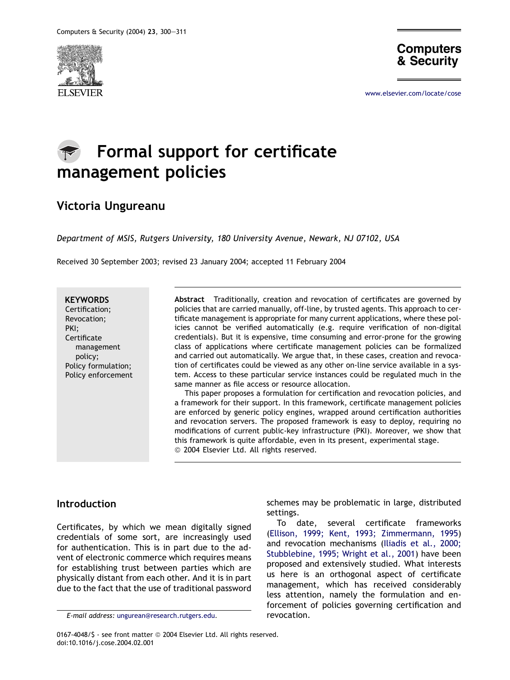



[www.elsevier.com/locate/cose](http://www.elsevier.com/locate/cose)

# Formal support for certificate management policies

### Victoria Ungureanu

Department of MSIS, Rutgers University, 180 University Avenue, Newark, NJ 07102, USA

Received 30 September 2003; revised 23 January 2004; accepted 11 February 2004

**KEYWORDS** Certification; Revocation; PKI; **Certificate** management policy; Policy formulation; Policy enforcement

Abstract Traditionally, creation and revocation of certificates are governed by policies that are carried manually, off-line, by trusted agents. This approach to certificate management is appropriate for many current applications, where these policies cannot be verified automatically (e.g. require verification of non-digital credentials). But it is expensive, time consuming and error-prone for the growing class of applications where certificate management policies can be formalized and carried out automatically. We argue that, in these cases, creation and revocation of certificates could be viewed as any other on-line service available in a system. Access to these particular service instances could be regulated much in the same manner as file access or resource allocation.

This paper proposes a formulation for certification and revocation policies, and a framework for their support. In this framework, certificate management policies are enforced by generic policy engines, wrapped around certification authorities and revocation servers. The proposed framework is easy to deploy, requiring no modifications of current public-key infrastructure (PKI). Moreover, we show that this framework is quite affordable, even in its present, experimental stage. © 2004 Elsevier Ltd. All rights reserved.

#### Introduction

Certificates, by which we mean digitally signed credentials of some sort, are increasingly used for authentication. This is in part due to the advent of electronic commerce which requires means for establishing trust between parties which are physically distant from each other. And it is in part due to the fact that the use of traditional password

0167-4048/\$ - see front matter @ 2004 Elsevier Ltd. All rights reserved. doi:10.1016/j.cose.2004.02.001

schemes may be problematic in large, distributed settings.

To date, several certificate frameworks [\(Ellison, 1999; Kent, 1993; Zimmermann, 1995\)](#page--1-0) and revocation mechanisms [\(Iliadis et al., 2000;](#page--1-0) [Stubblebine, 1995; Wright et al., 2001\)](#page--1-0) have been proposed and extensively studied. What interests us here is an orthogonal aspect of certificate management, which has received considerably less attention, namely the formulation and enforcement of policies governing certification and

E-mail address: [ungurean@research.rutgers.edu.](mailto:ungurean@research.rutgers.edu) revocation.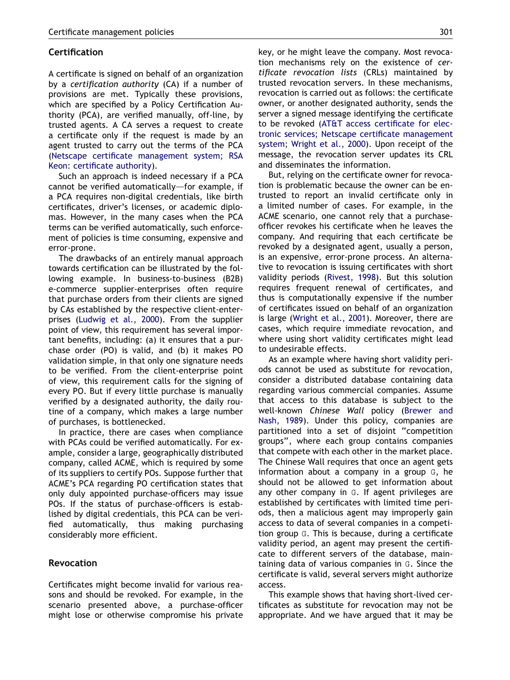#### Certification

A certificate is signed on behalf of an organization by a certification authority (CA) if a number of provisions are met. Typically these provisions, which are specified by a Policy Certification Authority (PCA), are verified manually, off-line, by trusted agents. A CA serves a request to create a certificate only if the request is made by an agent trusted to carry out the terms of the PCA [\(Netscape certificate management system; RSA](#page--1-0) [Keon: certificate authority\)](#page--1-0).

Such an approach is indeed necessary if a PCA cannot be verified automatically-for example, if a PCA requires non-digital credentials, like birth certificates, driver's licenses, or academic diplomas. However, in the many cases when the PCA terms can be verified automatically, such enforcement of policies is time consuming, expensive and error-prone.

The drawbacks of an entirely manual approach towards certification can be illustrated by the following example. In business-to-business (B2B) e-commerce supplier-enterprises often require that purchase orders from their clients are signed by CAs established by the respective client-enterprises ([Ludwig et al., 2000\)](#page--1-0). From the supplier point of view, this requirement has several important benefits, including: (a) it ensures that a purchase order (PO) is valid, and (b) it makes PO validation simple, in that only one signature needs to be verified. From the client-enterprise point of view, this requirement calls for the signing of every PO. But if every little purchase is manually verified by a designated authority, the daily routine of a company, which makes a large number of purchases, is bottlenecked.

In practice, there are cases when compliance with PCAs could be verified automatically. For example, consider a large, geographically distributed company, called ACME, which is required by some of its suppliers to certify POs. Suppose further that ACME's PCA regarding PO certification states that only duly appointed purchase-officers may issue POs. If the status of purchase-officers is established by digital credentials, this PCA can be verified automatically, thus making purchasing considerably more efficient.

#### Revocation

Certificates might become invalid for various reasons and should be revoked. For example, in the scenario presented above, a purchase-officer might lose or otherwise compromise his private key, or he might leave the company. Most revocation mechanisms rely on the existence of certificate revocation lists (CRLs) maintained by trusted revocation servers. In these mechanisms, revocation is carried out as follows: the certificate owner, or another designated authority, sends the server a signed message identifying the certificate to be revoked ([AT&T access certificate for elec](#page--1-0)[tronic services; Netscape certificate management](#page--1-0) [system; Wright et al., 2000\)](#page--1-0). Upon receipt of the message, the revocation server updates its CRL and disseminates the information.

But, relying on the certificate owner for revocation is problematic because the owner can be entrusted to report an invalid certificate only in a limited number of cases. For example, in the ACME scenario, one cannot rely that a purchaseofficer revokes his certificate when he leaves the company. And requiring that each certificate be revoked by a designated agent, usually a person, is an expensive, error-prone process. An alternative to revocation is issuing certificates with short validity periods [\(Rivest, 1998\)](#page--1-0). But this solution requires frequent renewal of certificates, and thus is computationally expensive if the number of certificates issued on behalf of an organization is large ([Wright et al., 2001\)](#page--1-0). Moreover, there are cases, which require immediate revocation, and where using short validity certificates might lead to undesirable effects.

As an example where having short validity periods cannot be used as substitute for revocation, consider a distributed database containing data regarding various commercial companies. Assume that access to this database is subject to the well-known Chinese Wall policy [\(Brewer and](#page--1-0) [Nash, 1989\)](#page--1-0). Under this policy, companies are partitioned into a set of disjoint ''competition groups'', where each group contains companies that compete with each other in the market place. The Chinese Wall requires that once an agent gets information about a company in a group G, he should not be allowed to get information about any other company in G. If agent privileges are established by certificates with limited time periods, then a malicious agent may improperly gain access to data of several companies in a competition group G. This is because, during a certificate validity period, an agent may present the certificate to different servers of the database, maintaining data of various companies in G. Since the certificate is valid, several servers might authorize access.

This example shows that having short-lived certificates as substitute for revocation may not be appropriate. And we have argued that it may be